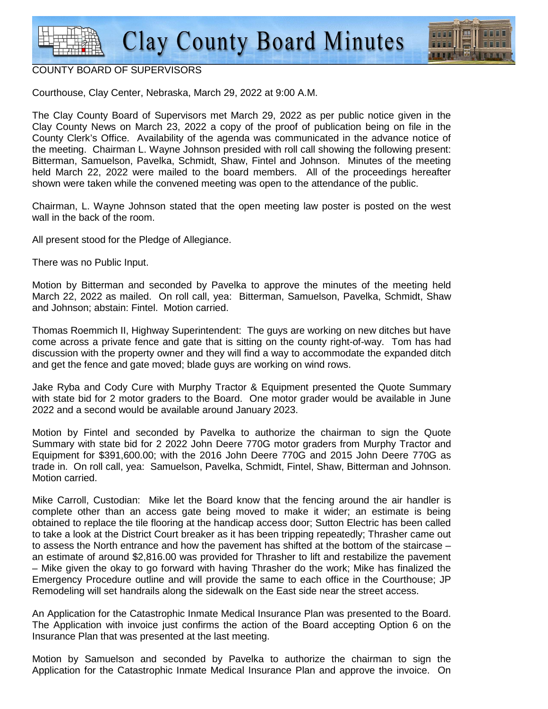

## COUNTY BOARD OF SUPERVISORS

Courthouse, Clay Center, Nebraska, March 29, 2022 at 9:00 A.M.

The Clay County Board of Supervisors met March 29, 2022 as per public notice given in the Clay County News on March 23, 2022 a copy of the proof of publication being on file in the County Clerk's Office. Availability of the agenda was communicated in the advance notice of the meeting. Chairman L. Wayne Johnson presided with roll call showing the following present: Bitterman, Samuelson, Pavelka, Schmidt, Shaw, Fintel and Johnson. Minutes of the meeting held March 22, 2022 were mailed to the board members. All of the proceedings hereafter shown were taken while the convened meeting was open to the attendance of the public.

Chairman, L. Wayne Johnson stated that the open meeting law poster is posted on the west wall in the back of the room.

All present stood for the Pledge of Allegiance.

There was no Public Input.

Motion by Bitterman and seconded by Pavelka to approve the minutes of the meeting held March 22, 2022 as mailed. On roll call, yea: Bitterman, Samuelson, Pavelka, Schmidt, Shaw and Johnson; abstain: Fintel. Motion carried.

Thomas Roemmich II, Highway Superintendent: The guys are working on new ditches but have come across a private fence and gate that is sitting on the county right-of-way. Tom has had discussion with the property owner and they will find a way to accommodate the expanded ditch and get the fence and gate moved; blade guys are working on wind rows.

Jake Ryba and Cody Cure with Murphy Tractor & Equipment presented the Quote Summary with state bid for 2 motor graders to the Board. One motor grader would be available in June 2022 and a second would be available around January 2023.

Motion by Fintel and seconded by Pavelka to authorize the chairman to sign the Quote Summary with state bid for 2 2022 John Deere 770G motor graders from Murphy Tractor and Equipment for \$391,600.00; with the 2016 John Deere 770G and 2015 John Deere 770G as trade in. On roll call, yea: Samuelson, Pavelka, Schmidt, Fintel, Shaw, Bitterman and Johnson. Motion carried.

Mike Carroll, Custodian: Mike let the Board know that the fencing around the air handler is complete other than an access gate being moved to make it wider; an estimate is being obtained to replace the tile flooring at the handicap access door; Sutton Electric has been called to take a look at the District Court breaker as it has been tripping repeatedly; Thrasher came out to assess the North entrance and how the pavement has shifted at the bottom of the staircase – an estimate of around \$2,816.00 was provided for Thrasher to lift and restabilize the pavement – Mike given the okay to go forward with having Thrasher do the work; Mike has finalized the Emergency Procedure outline and will provide the same to each office in the Courthouse; JP Remodeling will set handrails along the sidewalk on the East side near the street access.

An Application for the Catastrophic Inmate Medical Insurance Plan was presented to the Board. The Application with invoice just confirms the action of the Board accepting Option 6 on the Insurance Plan that was presented at the last meeting.

Motion by Samuelson and seconded by Pavelka to authorize the chairman to sign the Application for the Catastrophic Inmate Medical Insurance Plan and approve the invoice. On